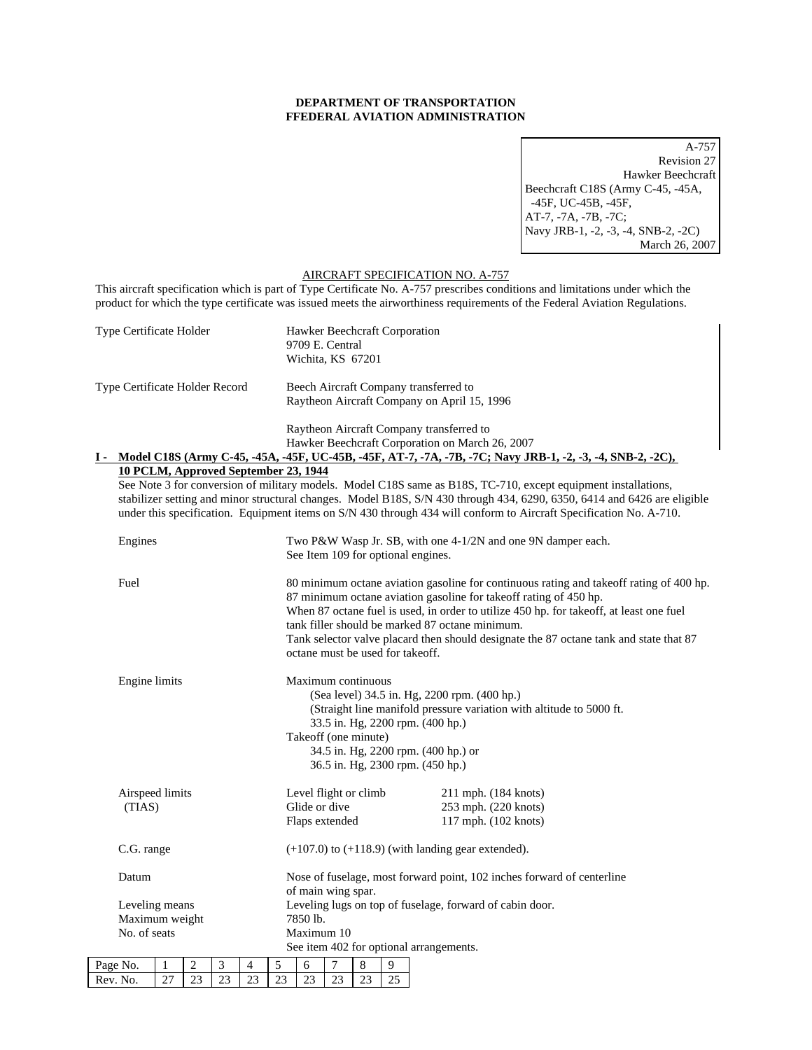## **DEPARTMENT OF TRANSPORTATION FFEDERAL AVIATION ADMINISTRATION**

A-757 Revision 27 Hawker Beechcraft Beechcraft C18S (Army C-45, -45A, -45F, UC-45B, -45F, AT-7, -7A, -7B, -7C; Navy JRB-1, -2, -3, -4, SNB-2, -2C) March 26, 2007

## AIRCRAFT SPECIFICATION NO. A-757

This aircraft specification which is part of Type Certificate No. A-757 prescribes conditions and limitations under which the product for which the type certificate was issued meets the airworthiness requirements of the Federal Aviation Regulations.

| Type Certificate Holder |                                                    |                                                                                                                                                                                                                                                                                                                                                                  |                |                                                                                                                                                                                                                                                                                   | Hawker Beechcraft Corporation<br>9709 E. Central<br>Wichita, KS 67201                                                                                                                                                                                                                                                                                                                                                                    |                                                                                              |                                                                                                    |                                                                                                                                  |    |    |  |                                                                                             |  |
|-------------------------|----------------------------------------------------|------------------------------------------------------------------------------------------------------------------------------------------------------------------------------------------------------------------------------------------------------------------------------------------------------------------------------------------------------------------|----------------|-----------------------------------------------------------------------------------------------------------------------------------------------------------------------------------------------------------------------------------------------------------------------------------|------------------------------------------------------------------------------------------------------------------------------------------------------------------------------------------------------------------------------------------------------------------------------------------------------------------------------------------------------------------------------------------------------------------------------------------|----------------------------------------------------------------------------------------------|----------------------------------------------------------------------------------------------------|----------------------------------------------------------------------------------------------------------------------------------|----|----|--|---------------------------------------------------------------------------------------------|--|
|                         | Type Certificate Holder Record                     |                                                                                                                                                                                                                                                                                                                                                                  |                |                                                                                                                                                                                                                                                                                   |                                                                                                                                                                                                                                                                                                                                                                                                                                          | Beech Aircraft Company transferred to<br>Raytheon Aircraft Company on April 15, 1996         |                                                                                                    |                                                                                                                                  |    |    |  |                                                                                             |  |
|                         |                                                    |                                                                                                                                                                                                                                                                                                                                                                  |                |                                                                                                                                                                                                                                                                                   |                                                                                                                                                                                                                                                                                                                                                                                                                                          |                                                                                              |                                                                                                    |                                                                                                                                  |    |    |  | Raytheon Aircraft Company transferred to<br>Hawker Beechcraft Corporation on March 26, 2007 |  |
|                         |                                                    | I - Model C18S (Army C-45, -45A, -45F, UC-45B, -45F, AT-7, -7A, -7B, -7C; Navy JRB-1, -2, -3, -4, SNB-2, -2C),<br>10 PCLM, Approved September 23, 1944                                                                                                                                                                                                           |                |                                                                                                                                                                                                                                                                                   |                                                                                                                                                                                                                                                                                                                                                                                                                                          |                                                                                              |                                                                                                    |                                                                                                                                  |    |    |  |                                                                                             |  |
|                         |                                                    | See Note 3 for conversion of military models. Model C18S same as B18S, TC-710, except equipment installations,<br>stabilizer setting and minor structural changes. Model B18S, S/N 430 through 434, 6290, 6350, 6414 and 6426 are eligible<br>under this specification. Equipment items on S/N 430 through 434 will conform to Aircraft Specification No. A-710. |                |                                                                                                                                                                                                                                                                                   |                                                                                                                                                                                                                                                                                                                                                                                                                                          |                                                                                              |                                                                                                    |                                                                                                                                  |    |    |  |                                                                                             |  |
|                         | Engines                                            |                                                                                                                                                                                                                                                                                                                                                                  |                |                                                                                                                                                                                                                                                                                   |                                                                                                                                                                                                                                                                                                                                                                                                                                          |                                                                                              | Two P&W Wasp Jr. SB, with one 4-1/2N and one 9N damper each.<br>See Item 109 for optional engines. |                                                                                                                                  |    |    |  |                                                                                             |  |
|                         | Fuel<br>Engine limits<br>Airspeed limits<br>(TIAS) |                                                                                                                                                                                                                                                                                                                                                                  |                |                                                                                                                                                                                                                                                                                   | 80 minimum octane aviation gasoline for continuous rating and takeoff rating of 400 hp.<br>87 minimum octane aviation gasoline for takeoff rating of 450 hp.<br>When 87 octane fuel is used, in order to utilize 450 hp. for takeoff, at least one fuel<br>tank filler should be marked 87 octane minimum.<br>Tank selector valve placard then should designate the 87 octane tank and state that 87<br>octane must be used for takeoff. |                                                                                              |                                                                                                    |                                                                                                                                  |    |    |  |                                                                                             |  |
|                         |                                                    |                                                                                                                                                                                                                                                                                                                                                                  |                | Maximum continuous<br>(Sea level) 34.5 in. Hg, 2200 rpm. (400 hp.)<br>(Straight line manifold pressure variation with altitude to 5000 ft.<br>33.5 in. Hg, 2200 rpm. (400 hp.)<br>Takeoff (one minute)<br>34.5 in. Hg, 2200 rpm. (400 hp.) or<br>36.5 in. Hg, 2300 rpm. (450 hp.) |                                                                                                                                                                                                                                                                                                                                                                                                                                          |                                                                                              |                                                                                                    |                                                                                                                                  |    |    |  |                                                                                             |  |
|                         |                                                    |                                                                                                                                                                                                                                                                                                                                                                  |                |                                                                                                                                                                                                                                                                                   |                                                                                                                                                                                                                                                                                                                                                                                                                                          |                                                                                              |                                                                                                    | Level flight or climb<br>211 mph. (184 knots)<br>Glide or dive<br>253 mph. (220 knots)<br>Flaps extended<br>117 mph. (102 knots) |    |    |  |                                                                                             |  |
|                         | C.G. range                                         |                                                                                                                                                                                                                                                                                                                                                                  |                |                                                                                                                                                                                                                                                                                   |                                                                                                                                                                                                                                                                                                                                                                                                                                          |                                                                                              | $(+107.0)$ to $(+118.9)$ (with landing gear extended).                                             |                                                                                                                                  |    |    |  |                                                                                             |  |
|                         | Datum                                              |                                                                                                                                                                                                                                                                                                                                                                  |                |                                                                                                                                                                                                                                                                                   |                                                                                                                                                                                                                                                                                                                                                                                                                                          | Nose of fuselage, most forward point, 102 inches forward of centerline<br>of main wing spar. |                                                                                                    |                                                                                                                                  |    |    |  |                                                                                             |  |
|                         | Leveling means                                     |                                                                                                                                                                                                                                                                                                                                                                  |                |                                                                                                                                                                                                                                                                                   |                                                                                                                                                                                                                                                                                                                                                                                                                                          |                                                                                              | Leveling lugs on top of fuselage, forward of cabin door.                                           |                                                                                                                                  |    |    |  |                                                                                             |  |
|                         | Maximum weight<br>No. of seats                     |                                                                                                                                                                                                                                                                                                                                                                  |                |                                                                                                                                                                                                                                                                                   |                                                                                                                                                                                                                                                                                                                                                                                                                                          |                                                                                              | 7850 lb.<br>Maximum 10<br>See item 402 for optional arrangements.                                  |                                                                                                                                  |    |    |  |                                                                                             |  |
|                         | Page No.                                           | $\mathbf{1}$                                                                                                                                                                                                                                                                                                                                                     | $\overline{2}$ | 3                                                                                                                                                                                                                                                                                 | $\overline{4}$                                                                                                                                                                                                                                                                                                                                                                                                                           | 5                                                                                            | 6                                                                                                  | $\overline{7}$                                                                                                                   | 8  | 9  |  |                                                                                             |  |
|                         | Rev. No.                                           | 27                                                                                                                                                                                                                                                                                                                                                               | 23             | 23                                                                                                                                                                                                                                                                                | 23                                                                                                                                                                                                                                                                                                                                                                                                                                       | 23                                                                                           | 23                                                                                                 | 23                                                                                                                               | 23 | 25 |  |                                                                                             |  |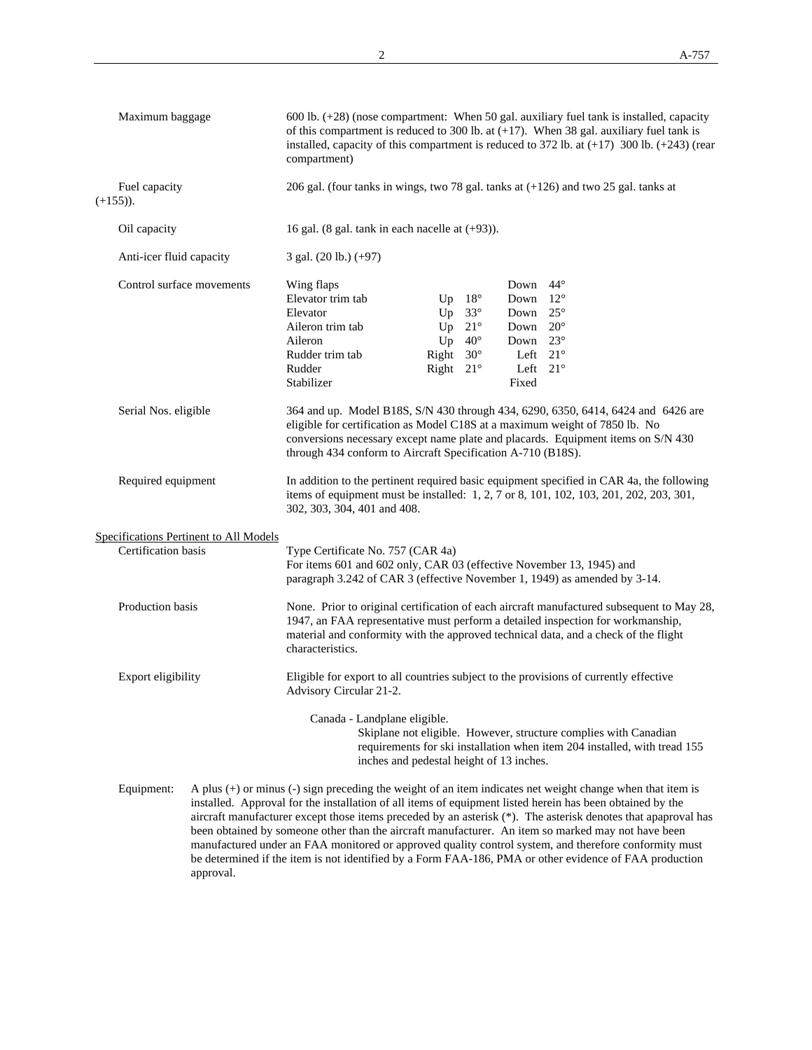|             | Maximum baggage                        | $600$ lb. $(+28)$ (nose compartment: When 50 gal. auxiliary fuel tank is installed, capacity<br>of this compartment is reduced to 300 lb. at $(+17)$ . When 38 gal. auxiliary fuel tank is<br>installed, capacity of this compartment is reduced to 372 lb. at $(+17)$ 300 lb. $(+243)$ (rear<br>compartment)<br>206 gal. (four tanks in wings, two 78 gal. tanks at $(+126)$ and two 25 gal. tanks at<br>16 gal. (8 gal. tank in each nacelle at $(+93)$ ). |                                                  |                                                              |                                                                                                        |                              |  |  |
|-------------|----------------------------------------|--------------------------------------------------------------------------------------------------------------------------------------------------------------------------------------------------------------------------------------------------------------------------------------------------------------------------------------------------------------------------------------------------------------------------------------------------------------|--------------------------------------------------|--------------------------------------------------------------|--------------------------------------------------------------------------------------------------------|------------------------------|--|--|
| $(+155)$ ). | Fuel capacity                          |                                                                                                                                                                                                                                                                                                                                                                                                                                                              |                                                  |                                                              |                                                                                                        |                              |  |  |
|             | Oil capacity                           |                                                                                                                                                                                                                                                                                                                                                                                                                                                              |                                                  |                                                              |                                                                                                        |                              |  |  |
|             | Anti-icer fluid capacity               | 3 gal. (20 lb.) (+97)                                                                                                                                                                                                                                                                                                                                                                                                                                        |                                                  |                                                              |                                                                                                        |                              |  |  |
|             | Control surface movements              | Wing flaps<br>Elevator trim tab<br>Elevator<br>Aileron trim tab<br>Aileron<br>Rudder trim tab<br>Rudder<br>Stabilizer                                                                                                                                                                                                                                                                                                                                        | Up<br>Up<br>Right $30^\circ$<br>Right $21^\circ$ | $18^{\circ}$<br>$33^\circ$<br>Up $21^\circ$<br>Up $40^\circ$ | Down<br>Down<br>Down $25^\circ$<br>Down 20°<br>Down 23°<br>Left $21^\circ$<br>Left $21^\circ$<br>Fixed | $44^{\circ}$<br>$12^{\circ}$ |  |  |
|             | Serial Nos. eligible                   | 364 and up. Model B18S, S/N 430 through 434, 6290, 6350, 6414, 6424 and 6426 are<br>eligible for certification as Model C18S at a maximum weight of 7850 lb. No<br>conversions necessary except name plate and placards. Equipment items on S/N 430<br>through 434 conform to Aircraft Specification A-710 (B18S).                                                                                                                                           |                                                  |                                                              |                                                                                                        |                              |  |  |
|             | Required equipment                     | In addition to the pertinent required basic equipment specified in CAR 4a, the following<br>items of equipment must be installed: 1, 2, 7 or 8, 101, 102, 103, 201, 202, 203, 301,<br>302, 303, 304, 401 and 408.                                                                                                                                                                                                                                            |                                                  |                                                              |                                                                                                        |                              |  |  |
|             | Specifications Pertinent to All Models |                                                                                                                                                                                                                                                                                                                                                                                                                                                              |                                                  |                                                              |                                                                                                        |                              |  |  |
|             | Certification basis                    | Type Certificate No. 757 (CAR 4a)<br>For items 601 and 602 only, CAR 03 (effective November 13, 1945) and<br>paragraph 3.242 of CAR 3 (effective November 1, 1949) as amended by 3-14.                                                                                                                                                                                                                                                                       |                                                  |                                                              |                                                                                                        |                              |  |  |
|             | Production basis                       | None. Prior to original certification of each aircraft manufactured subsequent to May 28,<br>1947, an FAA representative must perform a detailed inspection for workmanship,<br>material and conformity with the approved technical data, and a check of the flight<br>characteristics.                                                                                                                                                                      |                                                  |                                                              |                                                                                                        |                              |  |  |
|             | Export eligibility                     | Eligible for export to all countries subject to the provisions of currently effective<br>Advisory Circular 21-2.                                                                                                                                                                                                                                                                                                                                             |                                                  |                                                              |                                                                                                        |                              |  |  |
|             |                                        | Canada - Landplane eligible.<br>Skiplane not eligible. However, structure complies with Canadian<br>requirements for ski installation when item 204 installed, with tread 155<br>inches and pedestal height of 13 inches.                                                                                                                                                                                                                                    |                                                  |                                                              |                                                                                                        |                              |  |  |
|             | Equipment:                             | A plus $(+)$ or minus $(-)$ sign preceding the weight of an item indicates net weight change when that item is<br>installed. Approval for the installation of all items of equipment listed herein has been obtained by the<br>aircraft manufacturer except those items preceded by an asterisk (*). The asterisk denotes that apaproval has<br>been obtained by someone other than the aircraft manufacturer. An item so marked may not have been           |                                                  |                                                              |                                                                                                        |                              |  |  |

 manufactured under an FAA monitored or approved quality control system, and therefore conformity must be determined if the item is not identified by a Form FAA-186, PMA or other evidence of FAA production

approval.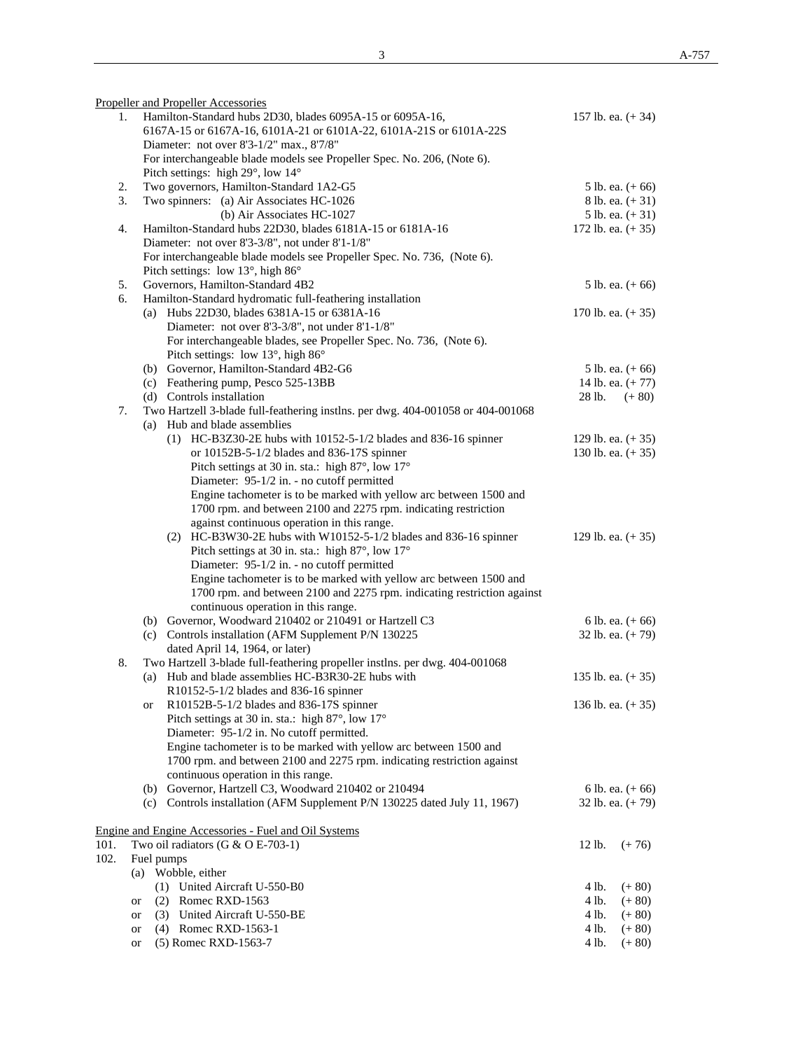|      | Propeller and Propeller Accessories                                             |                     |
|------|---------------------------------------------------------------------------------|---------------------|
| 1.   | Hamilton-Standard hubs 2D30, blades 6095A-15 or 6095A-16,                       | 157 lb. ea. $(+34)$ |
|      | 6167A-15 or 6167A-16, 6101A-21 or 6101A-22, 6101A-21S or 6101A-22S              |                     |
|      | Diameter: not over 8'3-1/2" max., 8'7/8"                                        |                     |
|      | For interchangeable blade models see Propeller Spec. No. 206, (Note 6).         |                     |
|      | Pitch settings: high 29°, low 14°                                               |                     |
| 2.   | Two governors, Hamilton-Standard 1A2-G5                                         | 5 lb. ea. $(+ 66)$  |
| 3.   | Two spinners: (a) Air Associates HC-1026                                        | 8 lb. ea. $(+31)$   |
|      | (b) Air Associates HC-1027                                                      | 5 lb. ea. $(+31)$   |
| 4.   | Hamilton-Standard hubs 22D30, blades 6181A-15 or 6181A-16                       | 172 lb. ea. $(+35)$ |
|      | Diameter: not over 8'3-3/8", not under 8'1-1/8"                                 |                     |
|      | For interchangeable blade models see Propeller Spec. No. 736, (Note 6).         |                     |
|      | Pitch settings: low 13°, high 86°                                               |                     |
| 5.   | Governors, Hamilton-Standard 4B2                                                | 5 lb. ea. $(+ 66)$  |
| 6.   | Hamilton-Standard hydromatic full-feathering installation                       |                     |
|      | (a) Hubs 22D30, blades 6381A-15 or 6381A-16                                     | 170 lb. ea. $(+35)$ |
|      | Diameter: not over 8'3-3/8", not under 8'1-1/8"                                 |                     |
|      | For interchangeable blades, see Propeller Spec. No. 736, (Note 6).              |                     |
|      | Pitch settings: low 13°, high 86°                                               |                     |
|      | (b) Governor, Hamilton-Standard 4B2-G6                                          |                     |
|      |                                                                                 | 5 lb. ea. $(+ 66)$  |
|      | (c) Feathering pump, Pesco 525-13BB                                             | 14 lb. ea. $(+ 77)$ |
|      | (d) Controls installation                                                       | 28 lb.<br>$(+ 80)$  |
| 7.   | Two Hartzell 3-blade full-feathering instlns. per dwg. 404-001058 or 404-001068 |                     |
|      | (a) Hub and blade assemblies                                                    |                     |
|      | $(1)$ HC-B3Z30-2E hubs with 10152-5-1/2 blades and 836-16 spinner               | 129 lb. ea. $(+35)$ |
|      | or 10152B-5-1/2 blades and 836-17S spinner                                      | 130 lb. ea. $(+35)$ |
|      | Pitch settings at 30 in. sta.: high 87°, low 17°                                |                     |
|      | Diameter: 95-1/2 in. - no cutoff permitted                                      |                     |
|      | Engine tachometer is to be marked with yellow arc between 1500 and              |                     |
|      | 1700 rpm. and between 2100 and 2275 rpm. indicating restriction                 |                     |
|      | against continuous operation in this range.                                     |                     |
|      | (2) HC-B3W30-2E hubs with W10152-5-1/2 blades and 836-16 spinner                | 129 lb. ea. $(+35)$ |
|      | Pitch settings at 30 in. sta.: high 87°, low 17°                                |                     |
|      | Diameter: 95-1/2 in. - no cutoff permitted                                      |                     |
|      | Engine tachometer is to be marked with yellow arc between 1500 and              |                     |
|      | 1700 rpm. and between 2100 and 2275 rpm. indicating restriction against         |                     |
|      | continuous operation in this range.                                             |                     |
|      | (b) Governor, Woodward 210402 or 210491 or Hartzell C3                          | 6 lb. ea. $(+ 66)$  |
|      | (c) Controls installation (AFM Supplement P/N 130225                            | 32 lb. ea. $(+ 79)$ |
|      | dated April 14, 1964, or later)                                                 |                     |
| 8.   | Two Hartzell 3-blade full-feathering propeller instlns. per dwg. 404-001068     |                     |
|      | (a) Hub and blade assemblies HC-B3R30-2E hubs with                              | 135 lb. ea. $(+35)$ |
|      | R10152-5-1/2 blades and 836-16 spinner                                          |                     |
|      | R10152B-5-1/2 blades and 836-17S spinner<br>or                                  | 136 lb. ea. $(+35)$ |
|      | Pitch settings at 30 in. sta.: high 87°, low 17°                                |                     |
|      | Diameter: 95-1/2 in. No cutoff permitted.                                       |                     |
|      | Engine tachometer is to be marked with yellow arc between 1500 and              |                     |
|      | 1700 rpm. and between 2100 and 2275 rpm. indicating restriction against         |                     |
|      | continuous operation in this range.                                             |                     |
|      | (b) Governor, Hartzell C3, Woodward 210402 or 210494                            | 6 lb. ea. $(+ 66)$  |
|      | (c) Controls installation (AFM Supplement P/N 130225 dated July 11, 1967)       | 32 lb. ea. $(+ 79)$ |
|      |                                                                                 |                     |
|      |                                                                                 |                     |
|      | <u><b>Engine and Engine Accessories - Fuel and Oil Systems</b></u>              |                     |
| 101. | Two oil radiators (G & O E-703-1)                                               | 12 lb.<br>$(+ 76)$  |
| 102. | Fuel pumps                                                                      |                     |
|      | (a) Wobble, either                                                              |                     |
|      | (1) United Aircraft U-550-B0                                                    | 4 lb.<br>$(+ 80)$   |
|      | $(2)$ Romec RXD-1563<br>or                                                      | 4 lb.<br>$(+ 80)$   |
|      | (3) United Aircraft U-550-BE<br>or                                              | 4 lb.<br>$(+ 80)$   |
|      | (4) Romec RXD-1563-1<br>or                                                      | 4 lb.<br>$(+ 80)$   |

or (5) Romec RXD-1563-7 4 lb.  $(+ 80)$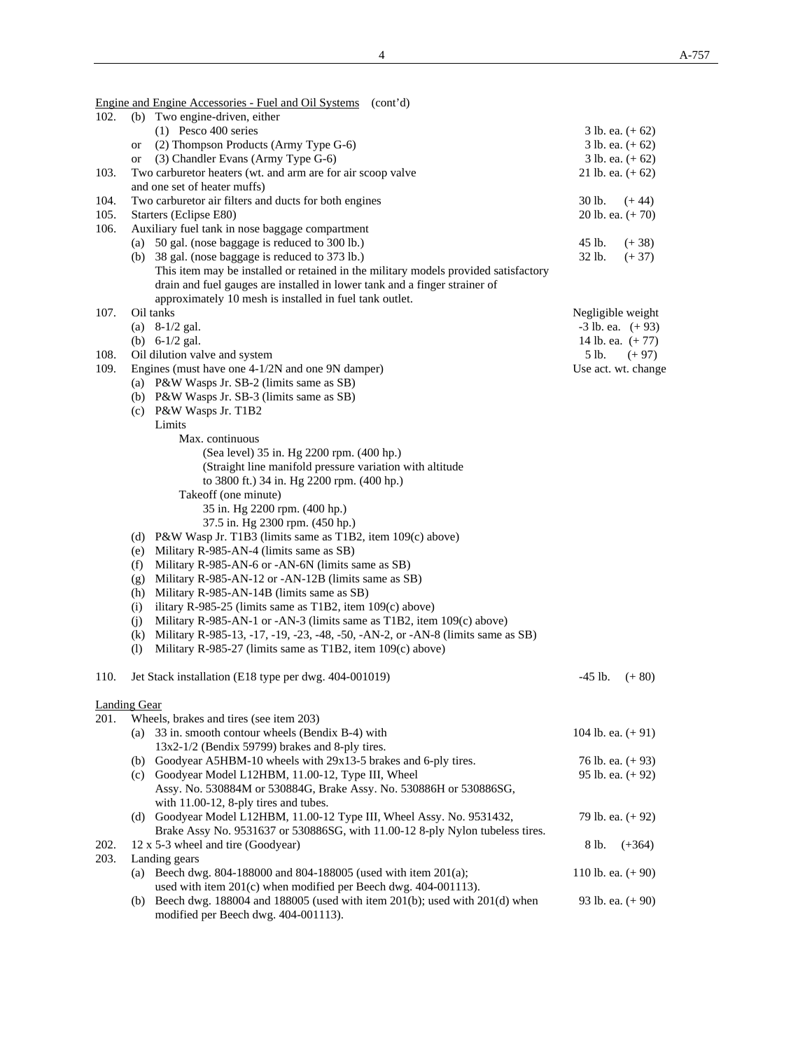Engine and Engine Accessories - Fuel and Oil Systems (cont'd) 102. (b) Two engine-driven, either (1) Pesco 400 series 3 lb. ea.  $(+62)$  or (2) Thompson Products (Army Type G-6) 3 lb. ea. (+ 62) or (3) Chandler Evans (Army Type G-6) 3 lb. ea. (+ 62) 103. Two carburetor heaters (wt. and arm are for air scoop valve 21 lb. ea. (+ 62) and one set of heater muffs) 104. Two carburetor air filters and ducts for both engines 30 lb. (+ 44) 105. Starters (Eclipse E80) 20 lb. ea. (+ 70) 106. Auxiliary fuel tank in nose baggage compartment (a)  $50$  gal. (nose baggage is reduced to  $300$  lb.)  $45$  lb.  $(+38)$  (b) 38 gal. (nose baggage is reduced to 373 lb.) 32 lb. (+ 37) This item may be installed or retained in the military models provided satisfactory drain and fuel gauges are installed in lower tank and a finger strainer of approximately 10 mesh is installed in fuel tank outlet. 107. Oil tanks Negligible weight (a)  $8-1/2$  gal.  $-3$  lb. ea.  $(+93)$ (b)  $6-1/2$  gal. 14 lb. ea.  $(+ 77)$ 108. Oil dilution valve and system 5 lb.  $(+ 97)$ 109. Engines (must have one 4-1/2N and one 9N damper) Use act. wt. change (a) P&W Wasps Jr. SB-2 (limits same as SB) (b) P&W Wasps Jr. SB-3 (limits same as SB) (c) P&W Wasps Jr. T1B2 **Limits**  Max. continuous (Sea level) 35 in. Hg 2200 rpm. (400 hp.) (Straight line manifold pressure variation with altitude to 3800 ft.) 34 in. Hg 2200 rpm. (400 hp.) Takeoff (one minute) 35 in. Hg 2200 rpm. (400 hp.) 37.5 in. Hg 2300 rpm. (450 hp.) (d) P&W Wasp Jr. T1B3 (limits same as T1B2, item 109(c) above) (e) Military R-985-AN-4 (limits same as SB) (f) Military R-985-AN-6 or -AN-6N (limits same as SB) (g) Military R-985-AN-12 or -AN-12B (limits same as SB) (h) Military R-985-AN-14B (limits same as SB) (i) ilitary R-985-25 (limits same as T1B2, item  $109(c)$  above) (j) Military R-985-AN-1 or -AN-3 (limits same as T1B2, item 109(c) above) (k) Military R-985-13, -17, -19, -23, -48, -50, -AN-2, or -AN-8 (limits same as SB) (l) Military R-985-27 (limits same as T1B2, item 109(c) above) 110. Jet Stack installation (E18 type per dwg. 404-001019) -45 lb. (+ 80) Landing Gear 201. Wheels, brakes and tires (see item 203)

## (a)  $33$  in. smooth contour wheels (Bendix B-4) with 104 lb. ea.  $(+ 91)$  13x2-1/2 (Bendix 59799) brakes and 8-ply tires. (b) Goodyear A5HBM-10 wheels with 29x13-5 brakes and 6-ply tires.  $76 \text{ lb.}$  ea.  $(+ 93)$ (c) Goodyear Model L12HBM,  $11.00-12$ , Type III, Wheel 95 lb. ea.  $(+ 92)$  Assy. No. 530884M or 530884G, Brake Assy. No. 530886H or 530886SG, with 11.00-12, 8-ply tires and tubes. (d) Goodyear Model L12HBM, 11.00-12 Type III, Wheel Assy. No. 9531432, 79 lb. ea. (+ 92) Brake Assy No. 9531637 or 530886SG, with 11.00-12 8-ply Nylon tubeless tires. 202.  $12 \times 5-3$  wheel and tire (Goodyear) 8 lb.  $(+364)$ 203. Landing gears (a) Beech dwg. 804-188000 and 804-188005 (used with item 201(a); 110 lb. ea. (+ 90) used with item 201(c) when modified per Beech dwg. 404-001113). (b) Beech dwg. 188004 and 188005 (used with item 201(b); used with 201(d) when 93 lb. ea. (+ 90) modified per Beech dwg. 404-001113).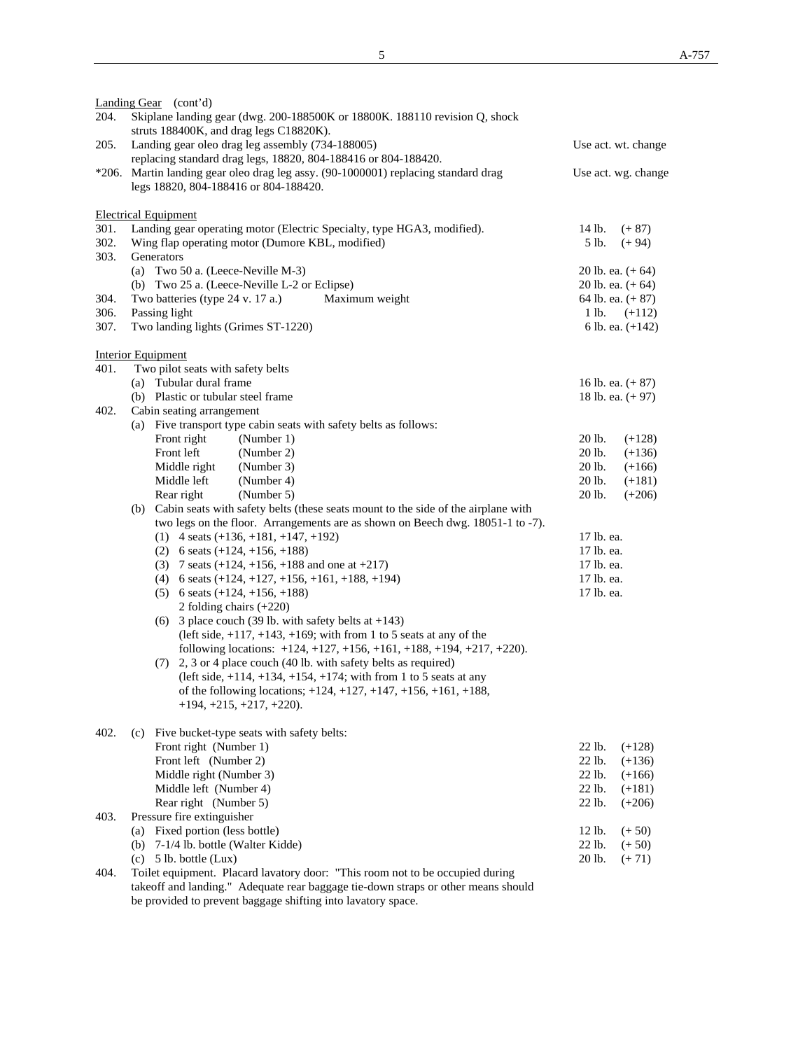|      | Landing Gear (cont'd)                                                                                                       |                     |  |  |  |
|------|-----------------------------------------------------------------------------------------------------------------------------|---------------------|--|--|--|
| 204. | Skiplane landing gear (dwg. 200-188500K or 18800K. 188110 revision Q, shock                                                 |                     |  |  |  |
|      | struts 188400K, and drag legs C18820K).                                                                                     |                     |  |  |  |
| 205. | Landing gear oleo drag leg assembly (734-188005)<br>Use act. wt. change                                                     |                     |  |  |  |
|      | replacing standard drag legs, 18820, 804-188416 or 804-188420.                                                              |                     |  |  |  |
|      | *206. Martin landing gear oleo drag leg assy. (90-1000001) replacing standard drag<br>legs 18820, 804-188416 or 804-188420. | Use act. wg. change |  |  |  |
|      | <b>Electrical Equipment</b>                                                                                                 |                     |  |  |  |
| 301. | Landing gear operating motor (Electric Specialty, type HGA3, modified).                                                     | 14 lb.<br>$(+ 87)$  |  |  |  |
| 302. | Wing flap operating motor (Dumore KBL, modified)                                                                            | 5 lb.<br>$(+ 94)$   |  |  |  |
| 303. | Generators                                                                                                                  |                     |  |  |  |
|      | (a) Two 50 a. (Leece-Neville M-3)                                                                                           | 20 lb. ea. $(+ 64)$ |  |  |  |
|      | (b) Two 25 a. (Leece-Neville L-2 or Eclipse)                                                                                | 20 lb. ea. $(+ 64)$ |  |  |  |
| 304. | Maximum weight<br>Two batteries (type 24 v. 17 a.)                                                                          | 64 lb. ea. (+ 87)   |  |  |  |
| 306. | Passing light                                                                                                               | 1 lb.<br>$(+112)$   |  |  |  |
| 307. | Two landing lights (Grimes ST-1220)                                                                                         | 6 lb. ea. $(+142)$  |  |  |  |
|      |                                                                                                                             |                     |  |  |  |
| 401. | <b>Interior Equipment</b><br>Two pilot seats with safety belts                                                              |                     |  |  |  |
|      | (a) Tubular dural frame                                                                                                     | 16 lb. ea. $(+ 87)$ |  |  |  |
|      | (b) Plastic or tubular steel frame                                                                                          | 18 lb. ea. $(+ 97)$ |  |  |  |
| 402. | Cabin seating arrangement                                                                                                   |                     |  |  |  |
|      | (a) Five transport type cabin seats with safety belts as follows:                                                           |                     |  |  |  |
|      | (Number 1)<br>Front right                                                                                                   | 20 lb.<br>$(+128)$  |  |  |  |
|      | Front left<br>(Number 2)                                                                                                    | 20 lb.<br>$(+136)$  |  |  |  |
|      | Middle right<br>(Number 3)                                                                                                  | 20 lb.<br>$(+166)$  |  |  |  |
|      | Middle left<br>(Number 4)                                                                                                   | 20 lb.<br>$(+181)$  |  |  |  |
|      | (Number 5)<br>Rear right                                                                                                    | 20 lb.<br>$(+206)$  |  |  |  |
|      | (b) Cabin seats with safety belts (these seats mount to the side of the airplane with                                       |                     |  |  |  |
|      | two legs on the floor. Arrangements are as shown on Beech dwg. 18051-1 to -7).                                              |                     |  |  |  |
|      | $(1)$ 4 seats $(+136, +181, +147, +192)$                                                                                    | 17 lb. ea.          |  |  |  |
|      | (2) 6 seats $(+124, +156, +188)$                                                                                            | 17 lb. ea.          |  |  |  |
|      | (3) 7 seats $(+124, +156, +188$ and one at $+217$ )                                                                         | 17 lb. ea.          |  |  |  |
|      | (4) 6 seats $(+124, +127, +156, +161, +188, +194)$                                                                          | 17 lb. ea.          |  |  |  |
|      | $(5)$ 6 seats $(+124, +156, +188)$                                                                                          | 17 lb. ea.          |  |  |  |
|      | 2 folding chairs $(+220)$                                                                                                   |                     |  |  |  |
|      | (6) 3 place couch (39 lb. with safety belts at $+143$ )                                                                     |                     |  |  |  |
|      | (left side, $+117$ , $+143$ , $+169$ ; with from 1 to 5 seats at any of the                                                 |                     |  |  |  |
|      | following locations: $+124, +127, +156, +161, +188, +194, +217, +220$ .                                                     |                     |  |  |  |
|      | (7) 2, 3 or 4 place couch (40 lb. with safety belts as required)                                                            |                     |  |  |  |
|      | (left side, $+114$ , $+134$ , $+154$ , $+174$ ; with from 1 to 5 seats at any                                               |                     |  |  |  |
|      | of the following locations; $+124, +127, +147, +156, +161, +188$ ,                                                          |                     |  |  |  |
|      | $+194, +215, +217, +220$ .                                                                                                  |                     |  |  |  |
| 402. | (c) Five bucket-type seats with safety belts:                                                                               |                     |  |  |  |
|      | Front right (Number 1)                                                                                                      | 22 lb.<br>$(+128)$  |  |  |  |
|      | Front left (Number 2)                                                                                                       | 22 lb.<br>$(+136)$  |  |  |  |
|      | Middle right (Number 3)                                                                                                     | 22 lb.<br>$(+166)$  |  |  |  |
|      | Middle left (Number 4)                                                                                                      | 22 lb.<br>$(+181)$  |  |  |  |
|      | Rear right (Number 5)                                                                                                       | 22 lb.<br>$(+206)$  |  |  |  |
| 403. | Pressure fire extinguisher                                                                                                  |                     |  |  |  |
|      | Fixed portion (less bottle)<br>(a)                                                                                          | 12 lb.<br>$(+ 50)$  |  |  |  |
|      | 7-1/4 lb. bottle (Walter Kidde)<br>(b)                                                                                      | 22 lb.<br>$(+ 50)$  |  |  |  |
|      | 5 lb. bottle (Lux)<br>(c)                                                                                                   | 20 lb.<br>$(+ 71)$  |  |  |  |
| 404. | Toilet equipment. Placard lavatory door: "This room not to be occupied during                                               |                     |  |  |  |
|      | takeoff and landing." Adequate rear baggage tie-down straps or other means should                                           |                     |  |  |  |

be provided to prevent baggage shifting into lavatory space.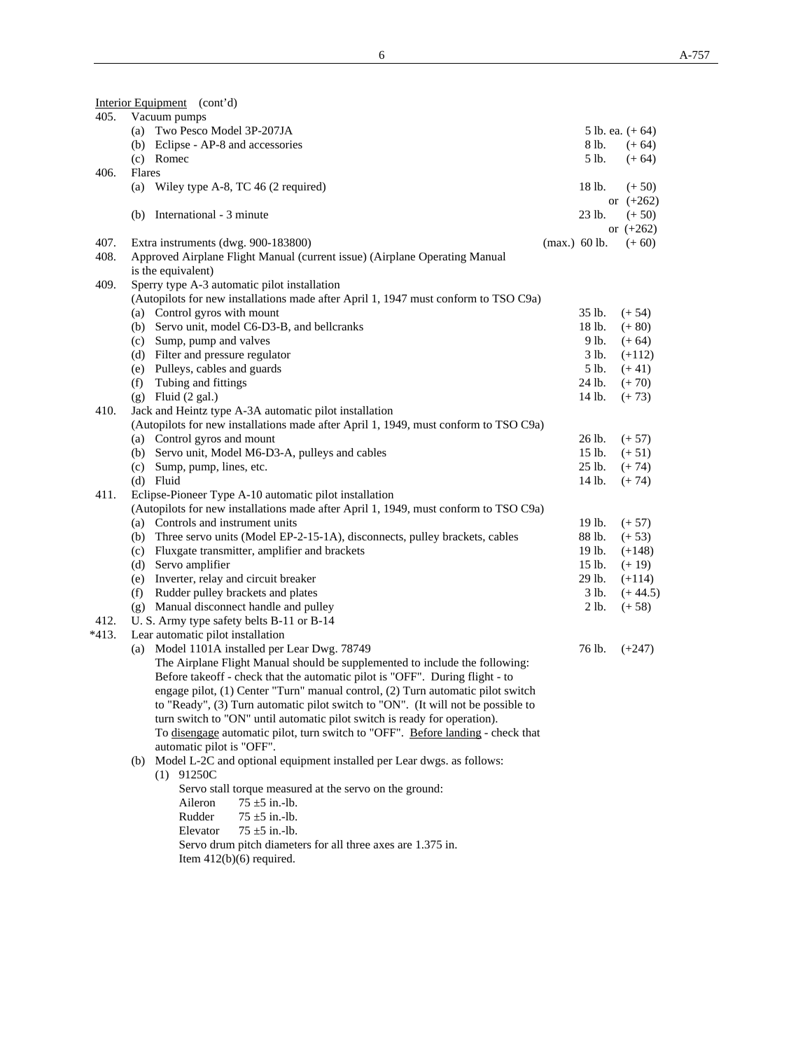|       | Interior Equipment (cont'd)                                                                                                                    |          |                         |
|-------|------------------------------------------------------------------------------------------------------------------------------------------------|----------|-------------------------|
| 405.  | Vacuum pumps                                                                                                                                   |          |                         |
|       | (a) Two Pesco Model 3P-207JA                                                                                                                   |          | 5 lb. ea. $(+ 64)$      |
|       | (b) Eclipse - AP-8 and accessories                                                                                                             | 8 lb.    | $(+ 64)$                |
|       | (c) Romec                                                                                                                                      | 5 lb.    | $(+ 64)$                |
| 406.  | Flares                                                                                                                                         |          |                         |
|       | (a) Wiley type A-8, TC 46 $(2$ required)                                                                                                       | 18 lb.   | $(+ 50)$                |
|       | (b) International - 3 minute                                                                                                                   | 23 lb.   | or $(+262)$<br>$(+ 50)$ |
|       |                                                                                                                                                |          | or $(+262)$             |
| 407.  | Extra instruments (dwg. 900-183800)<br>$(max.)$ 60 lb.                                                                                         |          | $(+ 60)$                |
| 408.  | Approved Airplane Flight Manual (current issue) (Airplane Operating Manual                                                                     |          |                         |
|       | is the equivalent)                                                                                                                             |          |                         |
| 409.  | Sperry type A-3 automatic pilot installation                                                                                                   |          |                         |
|       | (Autopilots for new installations made after April 1, 1947 must conform to TSO C9a)                                                            |          |                         |
|       | (a) Control gyros with mount                                                                                                                   | 35 lb.   | $(+ 54)$                |
|       | (b) Servo unit, model C6-D3-B, and bellcranks                                                                                                  | 18 lb.   | $(+ 80)$                |
|       | (c) Sump, pump and valves                                                                                                                      | 9 lb.    | $(+ 64)$                |
|       | (d) Filter and pressure regulator                                                                                                              | 3 lb.    | $(+112)$                |
|       | (e) Pulleys, cables and guards                                                                                                                 | 5 lb.    | $(+ 41)$                |
|       | (f) Tubing and fittings                                                                                                                        | 24 lb.   | $(+ 70)$                |
|       | $(g)$ Fluid $(2 gal.)$                                                                                                                         | 14 lb.   | $(+ 73)$                |
| 410.  | Jack and Heintz type A-3A automatic pilot installation                                                                                         |          |                         |
|       | (Autopilots for new installations made after April 1, 1949, must conform to TSO C9a)                                                           |          |                         |
|       | (a) Control gyros and mount                                                                                                                    | 26 lb.   | $(+ 57)$                |
|       | (b) Servo unit, Model M6-D3-A, pulleys and cables                                                                                              | 15 lb.   | $(+ 51)$                |
|       | (c) Sump, pump, lines, etc.                                                                                                                    | $25$ lb. | $(+ 74)$                |
|       | (d) Fluid                                                                                                                                      | 14 lb.   | $(+ 74)$                |
| 411.  | Eclipse-Pioneer Type A-10 automatic pilot installation<br>(Autopilots for new installations made after April 1, 1949, must conform to TSO C9a) |          |                         |
|       | (a) Controls and instrument units                                                                                                              | 19 lb.   | $(+ 57)$                |
|       | (b) Three servo units (Model EP-2-15-1A), disconnects, pulley brackets, cables                                                                 | 88 lb.   | $(+ 53)$                |
|       | (c) Fluxgate transmitter, amplifier and brackets                                                                                               | 19 lb.   | $(+148)$                |
|       | (d) Servo amplifier                                                                                                                            | 15 lb.   | $(+ 19)$                |
|       | (e) Inverter, relay and circuit breaker                                                                                                        | 29 lb.   | $(+114)$                |
|       | (f) Rudder pulley brackets and plates                                                                                                          | 3 lb.    | $(+44.5)$               |
|       | (g) Manual disconnect handle and pulley                                                                                                        | 2 lb.    | $(+ 58)$                |
| 412.  | U. S. Army type safety belts B-11 or B-14                                                                                                      |          |                         |
| *413. | Lear automatic pilot installation                                                                                                              |          |                         |
|       | (a) Model 1101A installed per Lear Dwg. 78749                                                                                                  | 76 lb.   | $(+247)$                |
|       | The Airplane Flight Manual should be supplemented to include the following:                                                                    |          |                         |
|       | Before takeoff - check that the automatic pilot is "OFF". During flight - to                                                                   |          |                         |
|       | engage pilot, (1) Center "Turn" manual control, (2) Turn automatic pilot switch                                                                |          |                         |
|       | to "Ready", (3) Turn automatic pilot switch to "ON". (It will not be possible to                                                               |          |                         |
|       | turn switch to "ON" until automatic pilot switch is ready for operation).                                                                      |          |                         |
|       | To disengage automatic pilot, turn switch to "OFF". Before landing - check that<br>automatic pilot is "OFF".                                   |          |                         |
|       |                                                                                                                                                |          |                         |
|       | (b) Model L-2C and optional equipment installed per Lear dwgs. as follows:<br>$(1)$ 91250C                                                     |          |                         |
|       | Servo stall torque measured at the servo on the ground:                                                                                        |          |                         |
|       | Aileron<br>$75 \pm 5$ in.-lb.                                                                                                                  |          |                         |
|       | $75 \pm 5$ in.-lb.<br>Rudder                                                                                                                   |          |                         |
|       | Elevator<br>$75 \pm 5$ in.-lb.                                                                                                                 |          |                         |
|       | Servo drum pitch diameters for all three axes are 1.375 in.                                                                                    |          |                         |
|       | Item $412(b)(6)$ required.                                                                                                                     |          |                         |
|       |                                                                                                                                                |          |                         |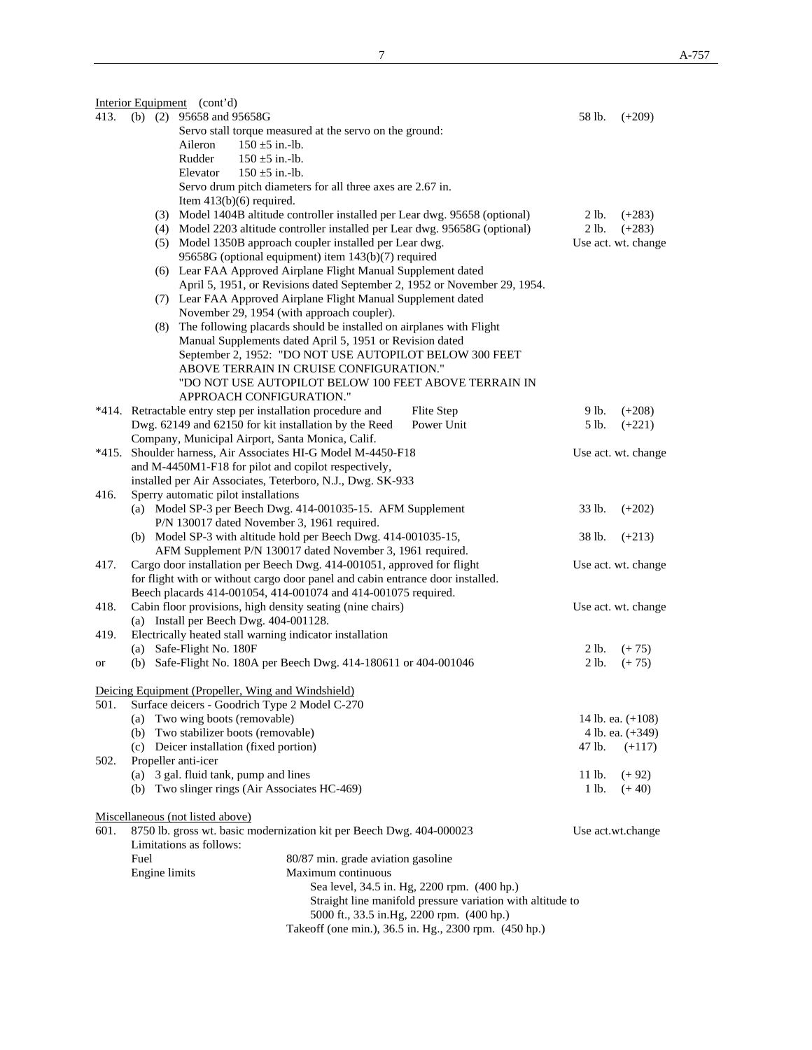|                                                                                |                                                                                   | Interior Equipment (cont'd)                                                                                                                      |          |                     |  |
|--------------------------------------------------------------------------------|-----------------------------------------------------------------------------------|--------------------------------------------------------------------------------------------------------------------------------------------------|----------|---------------------|--|
| 413.                                                                           |                                                                                   | (b) $(2)$ 95658 and 95658G                                                                                                                       | 58 lb.   | $(+209)$            |  |
|                                                                                |                                                                                   | Servo stall torque measured at the servo on the ground:                                                                                          |          |                     |  |
|                                                                                |                                                                                   | $150 \pm 5$ in -lb.<br>Aileron                                                                                                                   |          |                     |  |
|                                                                                |                                                                                   | Rudder<br>$150 \pm 5$ in.-lb.                                                                                                                    |          |                     |  |
|                                                                                |                                                                                   | Elevator<br>$150 \pm 5$ in.-lb.                                                                                                                  |          |                     |  |
|                                                                                |                                                                                   | Servo drum pitch diameters for all three axes are 2.67 in.                                                                                       |          |                     |  |
|                                                                                |                                                                                   | Item $413(b)(6)$ required.                                                                                                                       |          |                     |  |
|                                                                                |                                                                                   | (3) Model 1404B altitude controller installed per Lear dwg. 95658 (optional)                                                                     | 2 lb.    | $(+283)$            |  |
|                                                                                |                                                                                   | (4) Model 2203 altitude controller installed per Lear dwg. 95658G (optional)                                                                     | 2 lb.    | $(+283)$            |  |
|                                                                                |                                                                                   | (5) Model 1350B approach coupler installed per Lear dwg.                                                                                         |          | Use act. wt. change |  |
|                                                                                |                                                                                   | 95658G (optional equipment) item 143(b)(7) required                                                                                              |          |                     |  |
|                                                                                |                                                                                   | (6) Lear FAA Approved Airplane Flight Manual Supplement dated                                                                                    |          |                     |  |
|                                                                                |                                                                                   | April 5, 1951, or Revisions dated September 2, 1952 or November 29, 1954.                                                                        |          |                     |  |
|                                                                                |                                                                                   | (7) Lear FAA Approved Airplane Flight Manual Supplement dated                                                                                    |          |                     |  |
|                                                                                |                                                                                   | November 29, 1954 (with approach coupler).                                                                                                       |          |                     |  |
|                                                                                |                                                                                   | (8) The following placards should be installed on airplanes with Flight                                                                          |          |                     |  |
|                                                                                |                                                                                   | Manual Supplements dated April 5, 1951 or Revision dated                                                                                         |          |                     |  |
|                                                                                |                                                                                   | September 2, 1952: "DO NOT USE AUTOPILOT BELOW 300 FEET                                                                                          |          |                     |  |
|                                                                                |                                                                                   | ABOVE TERRAIN IN CRUISE CONFIGURATION."                                                                                                          |          |                     |  |
|                                                                                |                                                                                   | "DO NOT USE AUTOPILOT BELOW 100 FEET ABOVE TERRAIN IN<br>APPROACH CONFIGURATION."                                                                |          |                     |  |
|                                                                                |                                                                                   |                                                                                                                                                  |          |                     |  |
|                                                                                |                                                                                   | *414. Retractable entry step per installation procedure and<br>Flite Step<br>Dwg. 62149 and 62150 for kit installation by the Reed<br>Power Unit | 9 lb.    | $(+208)$            |  |
|                                                                                |                                                                                   | Company, Municipal Airport, Santa Monica, Calif.                                                                                                 | 5 lb.    | $(+221)$            |  |
|                                                                                |                                                                                   | *415. Shoulder harness, Air Associates HI-G Model M-4450-F18                                                                                     |          | Use act. wt. change |  |
|                                                                                |                                                                                   | and M-4450M1-F18 for pilot and copilot respectively,                                                                                             |          |                     |  |
|                                                                                |                                                                                   | installed per Air Associates, Teterboro, N.J., Dwg. SK-933                                                                                       |          |                     |  |
| 416.                                                                           |                                                                                   | Sperry automatic pilot installations                                                                                                             |          |                     |  |
|                                                                                |                                                                                   | 33 lb.                                                                                                                                           | $(+202)$ |                     |  |
|                                                                                |                                                                                   | (a) Model SP-3 per Beech Dwg. 414-001035-15. AFM Supplement<br>P/N 130017 dated November 3, 1961 required.                                       |          |                     |  |
|                                                                                |                                                                                   | (b) Model SP-3 with altitude hold per Beech Dwg. 414-001035-15,                                                                                  | 38 lb.   | $(+213)$            |  |
|                                                                                |                                                                                   | AFM Supplement P/N 130017 dated November 3, 1961 required.                                                                                       |          |                     |  |
| Cargo door installation per Beech Dwg. 414-001051, approved for flight<br>417. |                                                                                   |                                                                                                                                                  |          | Use act. wt. change |  |
|                                                                                | for flight with or without cargo door panel and cabin entrance door installed.    |                                                                                                                                                  |          |                     |  |
|                                                                                |                                                                                   | Beech placards 414-001054, 414-001074 and 414-001075 required.                                                                                   |          |                     |  |
| 418.                                                                           | Cabin floor provisions, high density seating (nine chairs)<br>Use act. wt. change |                                                                                                                                                  |          |                     |  |
|                                                                                |                                                                                   | (a) Install per Beech Dwg. 404-001128.                                                                                                           |          |                     |  |
| 419.                                                                           |                                                                                   | Electrically heated stall warning indicator installation                                                                                         |          |                     |  |
|                                                                                |                                                                                   | (a) Safe-Flight No. 180F                                                                                                                         | 2 lb.    | $(+ 75)$            |  |
| or                                                                             |                                                                                   | (b) Safe-Flight No. 180A per Beech Dwg. 414-180611 or 404-001046                                                                                 | 2 lb.    | $(+ 75)$            |  |
|                                                                                |                                                                                   |                                                                                                                                                  |          |                     |  |
|                                                                                |                                                                                   | Deicing Equipment (Propeller, Wing and Windshield)                                                                                               |          |                     |  |
| 501.                                                                           |                                                                                   | Surface deicers - Goodrich Type 2 Model C-270                                                                                                    |          |                     |  |
|                                                                                | (a) Two wing boots (removable)                                                    | 14 lb. ea. (+108)                                                                                                                                |          |                     |  |
|                                                                                |                                                                                   | (b) Two stabilizer boots (removable)                                                                                                             |          | 4 lb. ea. (+349)    |  |
|                                                                                |                                                                                   | (c) Deicer installation (fixed portion)                                                                                                          | 47 lb.   | $(+117)$            |  |
| 502.                                                                           |                                                                                   | Propeller anti-icer                                                                                                                              |          |                     |  |
|                                                                                |                                                                                   | (a) 3 gal. fluid tank, pump and lines                                                                                                            | 11 lb.   | $(+ 92)$            |  |
|                                                                                |                                                                                   | (b) Two slinger rings (Air Associates HC-469)                                                                                                    | 1 lb.    | $(+ 40)$            |  |
|                                                                                |                                                                                   |                                                                                                                                                  |          |                     |  |
|                                                                                |                                                                                   | Miscellaneous (not listed above)                                                                                                                 |          |                     |  |
| 601.                                                                           |                                                                                   | 8750 lb. gross wt. basic modernization kit per Beech Dwg. 404-000023                                                                             |          | Use act.wt.change   |  |
|                                                                                |                                                                                   | Limitations as follows:                                                                                                                          |          |                     |  |
|                                                                                | Fuel                                                                              | 80/87 min. grade aviation gasoline<br>Maximum continuous                                                                                         |          |                     |  |
|                                                                                | Engine limits                                                                     | Sea level, 34.5 in. Hg, 2200 rpm. (400 hp.)                                                                                                      |          |                     |  |
|                                                                                |                                                                                   | Straight line manifold pressure variation with altitude to                                                                                       |          |                     |  |
|                                                                                |                                                                                   | 5000 ft., 33.5 in.Hg, 2200 rpm. (400 hp.)                                                                                                        |          |                     |  |
|                                                                                |                                                                                   | Takeoff (one min.), 36.5 in. Hg., 2300 rpm. (450 hp.)                                                                                            |          |                     |  |
|                                                                                |                                                                                   |                                                                                                                                                  |          |                     |  |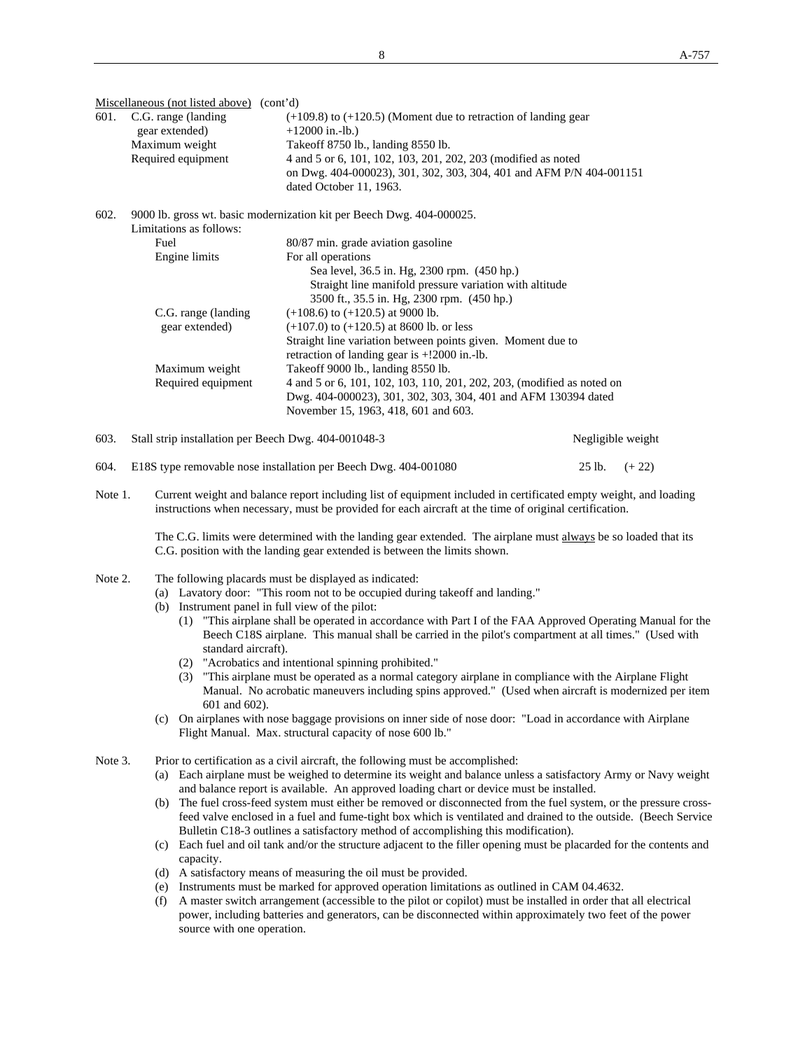Miscellaneous (not listed above) (cont'd)

| 601. | C.G. range (landing)<br>gear extended) | $(+109.8)$ to $(+120.5)$ (Moment due to retraction of landing gear<br>$+12000$ in.-lb.) |  |  |  |  |
|------|----------------------------------------|-----------------------------------------------------------------------------------------|--|--|--|--|
|      | Maximum weight                         | Take of f 8750 lb., landing 8550 lb.                                                    |  |  |  |  |
|      | Required equipment                     | 4 and 5 or 6, 101, 102, 103, 201, 202, 203 (modified as noted                           |  |  |  |  |
|      |                                        | on Dwg. 404-000023), 301, 302, 303, 304, 401 and AFM P/N 404-001151                     |  |  |  |  |
|      |                                        | dated October 11, 1963.                                                                 |  |  |  |  |
| 602. | Limitations as follows:                | 9000 lb. gross wt. basic modernization kit per Beech Dwg. 404-000025.                   |  |  |  |  |
|      | Fuel                                   | 80/87 min. grade aviation gasoline                                                      |  |  |  |  |
|      | Engine limits                          | For all operations                                                                      |  |  |  |  |
|      |                                        | Sea level, 36.5 in. Hg, 2300 rpm. (450 hp.)                                             |  |  |  |  |
|      |                                        | Straight line manifold pressure variation with altitude                                 |  |  |  |  |
|      |                                        | 3500 ft., 35.5 in. Hg, 2300 rpm. (450 hp.)                                              |  |  |  |  |
|      | C.G. range (landing)                   | $(+108.6)$ to $(+120.5)$ at 9000 lb.                                                    |  |  |  |  |
|      | goor oxtonded)                         | $(107.0)$ to $(120.5)$ at 8600 lb. or lass                                              |  |  |  |  |

| gear extended)     | $(+107.0)$ to $(+120.5)$ at 8600 lb. or less                           |
|--------------------|------------------------------------------------------------------------|
|                    | Straight line variation between points given. Moment due to            |
|                    | retraction of landing gear is $+!2000$ in.-lb.                         |
| Maximum weight     | Take off 9000 lb., landing 8550 lb.                                    |
| Required equipment | 4 and 5 or 6, 101, 102, 103, 110, 201, 202, 203, (modified as noted on |
|                    | Dwg. 404-000023), 301, 302, 303, 304, 401 and AFM 130394 dated         |
|                    | November 15, 1963, 418, 601 and 603.                                   |

603. Stall strip installation per Beech Dwg. 404-001048-3 Negligible weight

604. E18S type removable nose installation per Beech Dwg. 404-001080 25 lb. (+ 22)

Note 1. Current weight and balance report including list of equipment included in certificated empty weight, and loading instructions when necessary, must be provided for each aircraft at the time of original certification.

The C.G. limits were determined with the landing gear extended. The airplane must always be so loaded that its C.G. position with the landing gear extended is between the limits shown.

- Note 2. The following placards must be displayed as indicated:
	- (a) Lavatory door: "This room not to be occupied during takeoff and landing."
	- (b) Instrument panel in full view of the pilot:
		- (1) "This airplane shall be operated in accordance with Part I of the FAA Approved Operating Manual for the Beech C18S airplane. This manual shall be carried in the pilot's compartment at all times." (Used with standard aircraft).
		- (2) "Acrobatics and intentional spinning prohibited."
		- (3) "This airplane must be operated as a normal category airplane in compliance with the Airplane Flight Manual. No acrobatic maneuvers including spins approved." (Used when aircraft is modernized per item 601 and 602).
	- (c) On airplanes with nose baggage provisions on inner side of nose door: "Load in accordance with Airplane Flight Manual. Max. structural capacity of nose 600 lb."
- Note 3. Prior to certification as a civil aircraft, the following must be accomplished:
	- (a) Each airplane must be weighed to determine its weight and balance unless a satisfactory Army or Navy weight and balance report is available. An approved loading chart or device must be installed.
	- (b) The fuel cross-feed system must either be removed or disconnected from the fuel system, or the pressure cross feed valve enclosed in a fuel and fume-tight box which is ventilated and drained to the outside. (Beech Service Bulletin C18-3 outlines a satisfactory method of accomplishing this modification).
	- (c) Each fuel and oil tank and/or the structure adjacent to the filler opening must be placarded for the contents and capacity.
	- (d) A satisfactory means of measuring the oil must be provided.
	- (e) Instruments must be marked for approved operation limitations as outlined in CAM 04.4632.
	- (f) A master switch arrangement (accessible to the pilot or copilot) must be installed in order that all electrical power, including batteries and generators, can be disconnected within approximately two feet of the power source with one operation.